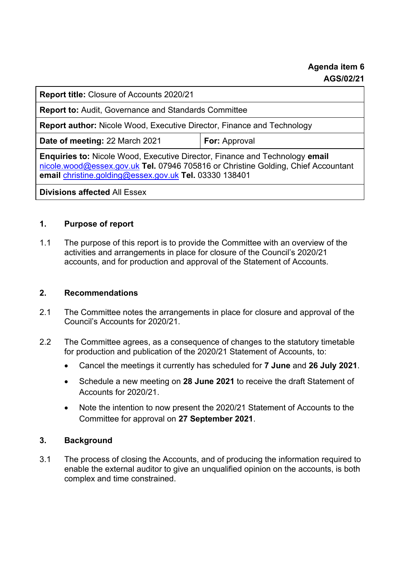**Report title:** Closure of Accounts 2020/21

**Report to:** Audit, Governance and Standards Committee

**Report author:** Nicole Wood, Executive Director, Finance and Technology

**Date of meeting: 22 March 2021 | For: Approval** 

**Enquiries to:** Nicole Wood, Executive Director, Finance and Technology **email**  [nicole.wood@essex.gov.uk](mailto:nicole.wood@essex.gov.uk) **Tel.** 07946 705816 or Christine Golding, Chief Accountant **email** [christine.golding@essex.gov.uk](mailto:christine.golding@essex.gov.uk) **Tel.** 03330 138401

**Divisions affected** All Essex

## **1. Purpose of report**

1.1 The purpose of this report is to provide the Committee with an overview of the activities and arrangements in place for closure of the Council's 2020/21 accounts, and for production and approval of the Statement of Accounts.

#### **2. Recommendations**

- 2.1 The Committee notes the arrangements in place for closure and approval of the Council's Accounts for 2020/21.
- 2.2 The Committee agrees, as a consequence of changes to the statutory timetable for production and publication of the 2020/21 Statement of Accounts, to:
	- Cancel the meetings it currently has scheduled for **7 June** and **26 July 2021**.
	- Schedule a new meeting on **28 June 2021** to receive the draft Statement of Accounts for 2020/21.
	- Note the intention to now present the 2020/21 Statement of Accounts to the Committee for approval on **27 September 2021**.

### **3. Background**

3.1 The process of closing the Accounts, and of producing the information required to enable the external auditor to give an unqualified opinion on the accounts, is both complex and time constrained.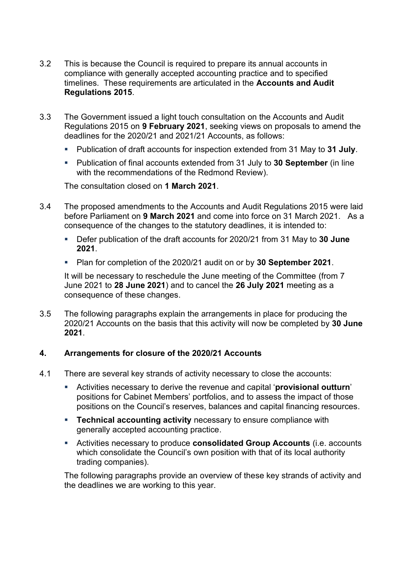- 3.2 This is because the Council is required to prepare its annual accounts in compliance with generally accepted accounting practice and to specified timelines. These requirements are articulated in the **Accounts and Audit Regulations 2015**.
- 3.3 The Government issued a light touch consultation on the Accounts and Audit Regulations 2015 on **9 February 2021**, seeking views on proposals to amend the deadlines for the 2020/21 and 2021/21 Accounts, as follows:
	- Publication of draft accounts for inspection extended from 31 May to **31 July**.
	- Publication of final accounts extended from 31 July to **30 September** (in line with the recommendations of the Redmond Review).

The consultation closed on **1 March 2021**.

- 3.4 The proposed amendments to the Accounts and Audit Regulations 2015 were laid before Parliament on **9 March 2021** and come into force on 31 March 2021. As a consequence of the changes to the statutory deadlines, it is intended to:
	- Defer publication of the draft accounts for 2020/21 from 31 May to 30 June **2021**.
	- Plan for completion of the 2020/21 audit on or by **30 September 2021**.

It will be necessary to reschedule the June meeting of the Committee (from 7 June 2021 to **28 June 2021**) and to cancel the **26 July 2021** meeting as a consequence of these changes.

3.5 The following paragraphs explain the arrangements in place for producing the 2020/21 Accounts on the basis that this activity will now be completed by **30 June 2021**.

### **4. Arrangements for closure of the 2020/21 Accounts**

- 4.1 There are several key strands of activity necessary to close the accounts:
	- Activities necessary to derive the revenue and capital '**provisional outturn**' positions for Cabinet Members' portfolios, and to assess the impact of those positions on the Council's reserves, balances and capital financing resources.
	- **EXECOMBED 12 Technical accounting activity** necessary to ensure compliance with generally accepted accounting practice.
	- Activities necessary to produce **consolidated Group Accounts** (i.e. accounts which consolidate the Council's own position with that of its local authority trading companies).

The following paragraphs provide an overview of these key strands of activity and the deadlines we are working to this year.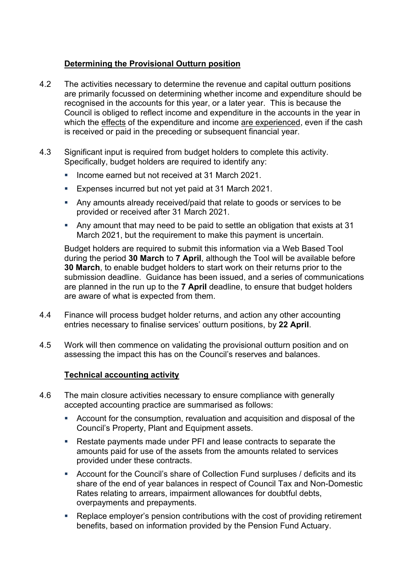# **Determining the Provisional Outturn position**

- 4.2 The activities necessary to determine the revenue and capital outturn positions are primarily focussed on determining whether income and expenditure should be recognised in the accounts for this year, or a later year. This is because the Council is obliged to reflect income and expenditure in the accounts in the year in which the effects of the expenditure and income are experienced, even if the cash is received or paid in the preceding or subsequent financial year.
- 4.3 Significant input is required from budget holders to complete this activity. Specifically, budget holders are required to identify any:
	- Income earned but not received at 31 March 2021.
	- Expenses incurred but not yet paid at 31 March 2021.
	- Any amounts already received/paid that relate to goods or services to be provided or received after 31 March 2021.
	- Any amount that may need to be paid to settle an obligation that exists at 31 March 2021, but the requirement to make this payment is uncertain.

Budget holders are required to submit this information via a Web Based Tool during the period **30 March** to **7 April**, although the Tool will be available before **30 March**, to enable budget holders to start work on their returns prior to the submission deadline. Guidance has been issued, and a series of communications are planned in the run up to the **7 April** deadline, to ensure that budget holders are aware of what is expected from them.

- 4.4 Finance will process budget holder returns, and action any other accounting entries necessary to finalise services' outturn positions, by **22 April**.
- 4.5 Work will then commence on validating the provisional outturn position and on assessing the impact this has on the Council's reserves and balances.

### **Technical accounting activity**

- 4.6 The main closure activities necessary to ensure compliance with generally accepted accounting practice are summarised as follows:
	- Account for the consumption, revaluation and acquisition and disposal of the Council's Property, Plant and Equipment assets.
	- Restate payments made under PFI and lease contracts to separate the amounts paid for use of the assets from the amounts related to services provided under these contracts.
	- Account for the Council's share of Collection Fund surpluses / deficits and its share of the end of year balances in respect of Council Tax and Non-Domestic Rates relating to arrears, impairment allowances for doubtful debts, overpayments and prepayments.
	- Replace employer's pension contributions with the cost of providing retirement benefits, based on information provided by the Pension Fund Actuary.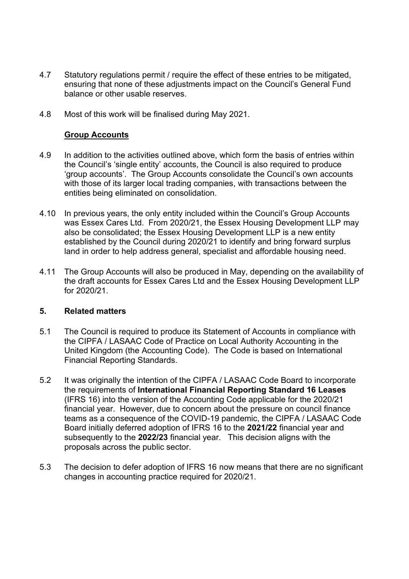- 4.7 Statutory regulations permit / require the effect of these entries to be mitigated, ensuring that none of these adjustments impact on the Council's General Fund balance or other usable reserves.
- 4.8 Most of this work will be finalised during May 2021.

## **Group Accounts**

- 4.9 In addition to the activities outlined above, which form the basis of entries within the Council's 'single entity' accounts, the Council is also required to produce 'group accounts'. The Group Accounts consolidate the Council's own accounts with those of its larger local trading companies, with transactions between the entities being eliminated on consolidation.
- 4.10 In previous years, the only entity included within the Council's Group Accounts was Essex Cares Ltd. From 2020/21, the Essex Housing Development LLP may also be consolidated; the Essex Housing Development LLP is a new entity established by the Council during 2020/21 to identify and bring forward surplus land in order to help address general, specialist and affordable housing need.
- 4.11 The Group Accounts will also be produced in May, depending on the availability of the draft accounts for Essex Cares Ltd and the Essex Housing Development LLP for 2020/21.

### **5. Related matters**

- 5.1 The Council is required to produce its Statement of Accounts in compliance with the CIPFA / LASAAC Code of Practice on Local Authority Accounting in the United Kingdom (the Accounting Code). The Code is based on International Financial Reporting Standards.
- 5.2 It was originally the intention of the CIPFA / LASAAC Code Board to incorporate the requirements of **International Financial Reporting Standard 16 Leases** (IFRS 16) into the version of the Accounting Code applicable for the 2020/21 financial year. However, due to concern about the pressure on council finance teams as a consequence of the COVID-19 pandemic, the CIPFA / LASAAC Code Board initially deferred adoption of IFRS 16 to the **2021/22** financial year and subsequently to the **2022/23** financial year. This decision aligns with the proposals across the public sector.
- 5.3 The decision to defer adoption of IFRS 16 now means that there are no significant changes in accounting practice required for 2020/21.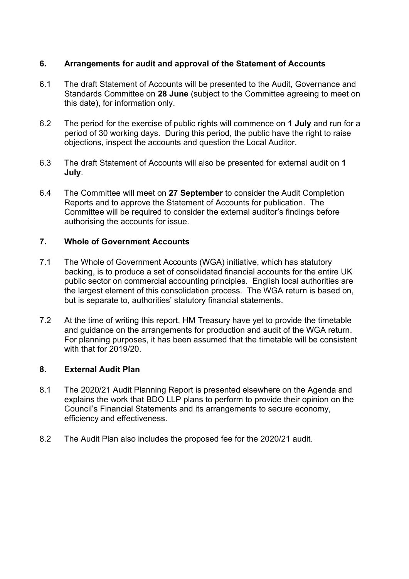## **6. Arrangements for audit and approval of the Statement of Accounts**

- 6.1 The draft Statement of Accounts will be presented to the Audit, Governance and Standards Committee on **28 June** (subject to the Committee agreeing to meet on this date), for information only.
- 6.2 The period for the exercise of public rights will commence on **1 July** and run for a period of 30 working days. During this period, the public have the right to raise objections, inspect the accounts and question the Local Auditor.
- 6.3 The draft Statement of Accounts will also be presented for external audit on **1 July**.
- 6.4 The Committee will meet on **27 September** to consider the Audit Completion Reports and to approve the Statement of Accounts for publication. The Committee will be required to consider the external auditor's findings before authorising the accounts for issue.

## **7. Whole of Government Accounts**

- 7.1 The Whole of Government Accounts (WGA) initiative, which has statutory backing, is to produce a set of consolidated financial accounts for the entire UK public sector on commercial accounting principles. English local authorities are the largest element of this consolidation process. The WGA return is based on, but is separate to, authorities' statutory financial statements.
- 7.2 At the time of writing this report, HM Treasury have yet to provide the timetable and guidance on the arrangements for production and audit of the WGA return. For planning purposes, it has been assumed that the timetable will be consistent with that for 2019/20.

# **8. External Audit Plan**

- 8.1 The 2020/21 Audit Planning Report is presented elsewhere on the Agenda and explains the work that BDO LLP plans to perform to provide their opinion on the Council's Financial Statements and its arrangements to secure economy, efficiency and effectiveness.
- 8.2 The Audit Plan also includes the proposed fee for the 2020/21 audit.